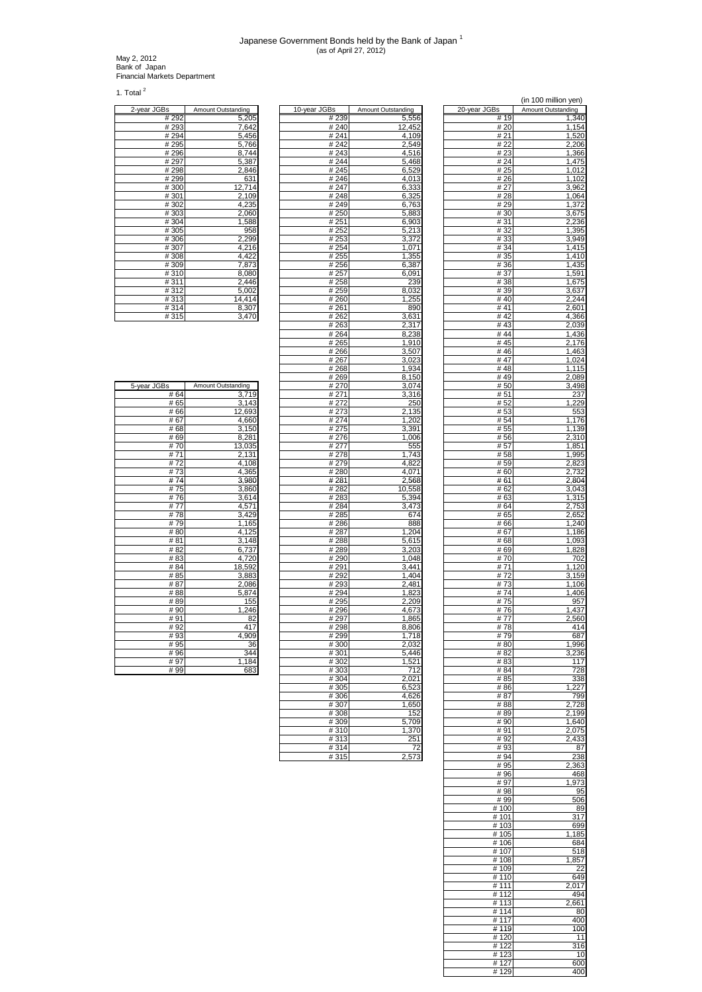## Japanese Government Bonds held by the Bank of Japan 1 (as of April 27, 2012)

May 2, 2012 Bank of Japan Financial Markets Department

1. Total $^2$ 

| 2-year JGBs | Amount Outstanding |
|-------------|--------------------|
| # 292       | 5,205              |
| #293        | 7,642              |
| # 294       | 5,456              |
| #295        | 5,766              |
| #296        | 8,744              |
| #297        | 5,387              |
| #298        | 2,846              |
| #299        | 631                |
| #300        | 12,714             |
| #301        | 2,109              |
| #302        | 4,235              |
| #303        | 2,060              |
| #304        | 1,588              |
| #305        | 958                |
| #306        | 2,299              |
| #307        | 4,216              |
| #308        | $\overline{4,}422$ |
| #309        | 7,873              |
| #310        | 8,080              |
| #311        | 2,446              |
| #312        | 5,002              |
| #313        | 14,414             |
| #314        | 8,307              |
| #315        | 3,470              |

| 5-year JGBs | Amount Outstanding |
|-------------|--------------------|
| #64         | 3,719              |
| #65         | 3,143              |
| #66         | 12,693             |
| #67         | 4,660              |
| #68         | 3,150              |
| #69         | 8,281              |
| #70         | 13,035             |
| #71         | 2,131              |
| #72         | 4,108              |
| #73         | 4,365              |
| #74         | 3,980              |
| #75         | 3,860              |
| #76         | 3,614              |
| #77         | 4,571              |
| #78         | 3,429              |
| #79         | 1,165              |
| #80         | 4,125              |
| #81         | 3,148              |
| #82         | 6,737              |
| #83         | 4,720              |
| # 84        | 18,592             |
| # 85        | 3,883              |
| # 87        | 2,086              |
| #88         | 5,874              |
| #89         | 155                |
| #90         | 1,246              |
| #91         | 82                 |
| #92         | 417                |
| #93         | 4,909              |
| # 95        | 36                 |
| #96         | 344                |
| # 97        | 1,184              |
| # 99        | 683                |

| 2-year JGBs   | <b>Amount Outstanding</b> | 10-year JGBs      | Amount Outstanding | 20-year JGBs | <b>Amount Outstanding</b> |
|---------------|---------------------------|-------------------|--------------------|--------------|---------------------------|
| # 292         | 5,205                     | # 239             | 5,556              | # 19         | 1,340                     |
| #293<br># 294 | 7,642<br>5,456            | #240<br># 241     | 12,452<br>4.109    | # 20<br># 21 | 1,154<br>1,520            |
| #295          | 5,766                     | #242              | 2,549              | # 22         | 2,206                     |
| #296          | 8,744                     | #243              | 4,516              | #23          | 1,366                     |
| #297          | 5,387                     | #244              | 5,468              | # 24         | 1,475                     |
| #298          | 2,846                     | #245              | 6,529              | # 25         | 1,012                     |
| #299          | 631                       | #246              | 4,013              | # 26         | 1,102                     |
| #300          | 12,714                    | #247              | 6,333              | #27          | 3,962                     |
| #301          | 2,109                     | #248              | 6,325              | #28          | 1,064                     |
| #302<br>#303  | 4,235<br>2,060            | #249<br>#250      | 6,763<br>5,883     | #29<br># 30  | 1,372                     |
| #304          | 1,588                     | #251              | 6,903              | #31          | 3,675<br>2,236            |
| #305          | 958                       | #252              | 5,213              | #32          | 1,395                     |
| #306          | 2,299                     | # 253             | 3,372              | #33          | 3,949                     |
| #307          | 4,216                     | #254              | 1,071              | # 34         | 1,415                     |
| #308          | 4,422                     | # 255             | 1,355              | # 35         | 1,410                     |
| #309          | 7,873                     | # 256             | 6,387              | #36          | 1,435                     |
| #310          | 8.080                     | #257              | 6,091              | #37          | 1,591                     |
| #311          | 2,446                     | #258              | 239                | #38          | 1,675                     |
| #312<br>#313  | 5,002<br>14,414           | #259<br>#260      | 8,032<br>1,255     | # 39<br>#40  | 3,637<br>2,244            |
| #314          | 8,307                     | # 261             | 890                | # $41$       | 2,601                     |
| #315          | 3,470                     | # 262             | 3,631              | #42          | 4,366                     |
|               |                           | #263              | 2,317              | #43          | 2,039                     |
|               |                           | # 264             | 8,238              | #44          | 1,436                     |
|               |                           | # 265             | 1,910              | #45          | 2,176                     |
|               |                           | # 266             | 3,507              | #46          | 1,463                     |
|               |                           | # 267             | 3,023              | #47<br>#48   | $\overline{1,024}$        |
|               |                           | #268<br>#269      | 1,934<br>8,150     | #49          | 1,115<br>2,089            |
| 5-year JGBs   | Amount Outstanding        | # 270             | 3,074              | # 50         | 3,498                     |
| # 64          | 3,719                     | # 271             | 3,316              | # 51         | 237                       |
| # 65          | 3,143                     | # 272             | 250                | #52          | 1,229                     |
| # 66          | 12,693                    | # 273             | 2,135              | # 53         | 553                       |
| #67           | 4,660                     | # 274             | 1,202              | # 54         | 1,176                     |
| #68           | 3,150                     | #275              | 3,391              | # 55         | 1,139                     |
| #69           | 8,281                     | #276              | 1,006              | #56          | 2,310                     |
| #70<br>#71    | 13,035<br>2,131           | # 277<br>#278     | 555<br>1,743       | #57<br>#58   | 1,851<br>1,995            |
| #72           | 4,108                     | # 279             | 4,822              | # 59         | 2,823                     |
| #73           | 4,365                     | #280              | 4,071              | #60          | 2,732                     |
| #74           | 3,980                     | # 281             | 2,568              | #61          | 2,804                     |
| #75           | 3,860                     | # 282             | 10,558             | # 62         | 3,043                     |
| #76           | 3,614                     | #283              | 5,394              | # 63         | 1,315                     |
| #77           | 4,571                     | #284              | 3,473              | # 64         | 2,753                     |
| #78           | 3,429                     | # 285             | 674                | #65          | 2,652                     |
| #79<br>#80    | 1,165<br>4,125            | #286<br>#287      | 888<br>1,204       | #66<br>#67   | 1,240<br>1,186            |
| #81           | 3,148                     | $\frac{1}{4}$ 288 | 5,615              | #68          | 1,093                     |
| #82           | 6,737                     | #289              | 3,203              | # 69         | 1,828                     |
| #83           | 4,720                     | # 290             | 1,048              | #70          | 702                       |
| # 84          | 18,592                    | # 291             | 3,441              | #71          | 1,120                     |
| #85           | 3,883                     | #292              | 1,404              | #72          | 3,159                     |
| #87           | 2,086                     | #293              | 2,481              | #73          | 1,106                     |
| #88           | 5,874                     | #294              | 1,823              | #74          | 1,406                     |
| #89<br>#90    | 155<br>1,246              | #295<br>#296      | 2,209<br>4,673     | #75<br>#76   | 957<br>1,437              |
| #91           | 82                        | #297              | 1,865              | #77          | 2,560                     |
| #92           | 417                       | #298              | 8,806              | #78          | 414                       |
| #93           | 4,909                     | # 299             | 1,718              | #79          | 687                       |
| # 95          | 36                        | #300              | 2,032              | #80          | 1,996                     |
| # 96          | 344                       | #301              | 5,446              | # 82         | 3,236                     |
| #97           | 1,184                     | #302              | 1,521              | # 83         | 117                       |
| # 99          | 683                       | #303              | 712                | # 84         | 728                       |
|               |                           | #304              | 2,021              | # 85         | 338                       |
|               |                           | #305<br>#306      | 6,523<br>4,626     | #86<br># 87  | 1,227<br>799              |
|               |                           | # 307             | 1,650              | # 88         | 2,728                     |
|               |                           | #308              | 152                | # 89         | 2,199                     |
|               |                           | #309              | 5,709              | # 90         | 1,640                     |
|               |                           | #310              | 1,370              | #91          | 2,075                     |
|               |                           | #313              | 251                | #92          | 2,433                     |
|               |                           | #314              | 72                 | #93          | 87                        |
|               |                           | #315              | 2,573              | #94          | 238                       |

|                   |                    |              | (in 100 million yen) |
|-------------------|--------------------|--------------|----------------------|
| 3s                | Amount Outstanding | 20-year JGBs | Amount Outstanding   |
| #239              | 5,556              | # 19         | 1,340                |
| # 240             | 12,452             | # 20         | 1,154                |
| #241              | 4,109              | # 21         | 1,520                |
| #242              | 2,549              | # 22         | 2,206                |
| #243              | 4,516              | #23          | 1,366                |
| #244              | 5,468              | # 24         | 1,475                |
| # 245             | 6,529              | # 25         | 1,012                |
| #246              | 4,013              | # 26         | 1,102                |
| # 247             | 6,333              | # 27         | 3,962                |
| #248              | 6,325              | #28          | 1,064                |
| # 249             | 6,763              | #29          | 1,372                |
| # 250             | 5,883              | #30          | 3,675                |
| # 251             | 6,903              | # 31         | 2,236                |
| # 252             | 5,213              | #32          | 1,395                |
| # 253             | 3,372              | #33          | 3,949                |
| # 254             | 1,071              | #34          | 1,415                |
| # 255             | 1,355              | # 35         | 1,410                |
| # 256             | 6,387              | # 36         | 1,435                |
| # 257             | 6,091              | # 37         | 1,591                |
| # 258             | 239                | #38          | 1,675                |
| # 259             | 8,032              | #39          | 3,637                |
| # 260             | 1,255              | #40          | 2,244                |
| # 261             | 890                | # 41         | 2,601                |
| # 262             | 3,631              | # $42$       | 4,366                |
| # 263             | 2,317              | #43          | 2,039                |
| # 264             | 8,238              | #44          | 1,436                |
| # 265             | 1,910              | # 45         | 2,176                |
| # 266             | 3,507              | # 46         | 1,463                |
| # 267             | 3,023              | #47          | 1,024                |
| #268              | 1,934              | #48          | 1,115                |
| # 269             | 8,150              | #49          | 2,089                |
| # 270             | 3,074              | # 50         | 3,498                |
| # 271             | 3,316              | # 51         | 237                  |
| # 272             | 250                | # 52         | 1,229                |
| # 273             | 2,135              | # 53         | 553                  |
| # 274             | 1,202              | # 54         | 1,176                |
| #275<br># 276     | 3,391<br>1,006     | # 55<br># 56 | 1,139<br>2,310       |
|                   |                    |              |                      |
| # 277<br>#278     | 555<br>1,743       | # 57         | 1,851                |
| # 279             | 4,822              | #58<br># 59  | 1,995<br>2,823       |
| # 280             | 4,071              | #60          | 2,732                |
| # 281             | 2,568              | # 61         | 2,804                |
| # 282             | 10,558             | # 62         | 3,043                |
| # 283             | 5,394              | # 63         | 1,315                |
| # 284             | 3,473              | #64          | 2,753                |
| # 285             | 674                | # 65         | 2,652                |
| #286              | 888                | #66          | 1,240                |
| # 287             | 1,204              | # 67         | 1,186                |
| #288              | 5,615              | #68          | 1,093                |
| # 289             | 3,203              | # 69         | 1,828                |
| #290              | 1,048              | #70          | 702                  |
| # 291             | 3,441              | # 71         | 1,120                |
| # 292             | 1,404              | #72          | 3,159                |
| # 293             | 2,481              | #73          | 1,106                |
| # 294             | 1,823              | #74          | 1,406                |
| $\frac{1}{4}$ 295 | 2,209              | #75          | 957                  |
| #296              | 4,673              | #76          | 1,437                |
| # 297             | 1,865              | #77          | 2,560                |
| # 298             | 8,806              | #78          | 414                  |
| #299              | 1,718              | #79          | 687                  |
| #300              | 2,032              | #80          | 1,996                |
| #301              | 5,446              | # 82         | 3,236                |
| #302              | 1,521              | #83          | 117                  |
| # 303             | 712                | # 84         | 728                  |
| #304              | 2,021              | # 85         | 338                  |
| #305              | 6,523              | # 86         | 1,227                |
| # 306             | 4,626              | # 87         | 799                  |
| # 307             | 1,650              | # 88         | 2,728                |
| # 308             | 152                | #89          | 2,199                |
| #309              | 5,709              | #90          | 1,640                |
| #310              | 1,370              | # 91         | 2,075                |
| #313              | 251                | #92          | 2,433                |
| #314              | 72                 | #93          | 87                   |
| #315              | 2,573              | #94          | 238                  |
|                   |                    | #95          | 2,363                |
|                   |                    | #96          | 468                  |
|                   |                    | #97          | 1,973                |
|                   |                    | #98          | 95                   |
|                   |                    | #99          | 506                  |
|                   |                    | # 100        | 89                   |
|                   |                    | # 101        | 317                  |
|                   |                    | #103         | 699                  |
|                   |                    | #105         | 1,185                |
|                   |                    | # 106        | 684                  |
|                   |                    | # 107        | 518                  |
|                   |                    | # 108        | 1,857                |
|                   |                    | # 109        | 22                   |
|                   |                    | #110         | 649                  |
|                   |                    | # 111        | 2,017                |
|                   |                    | # 112        | 494                  |
|                   |                    | # 113        | 2,661                |
|                   |                    | #114         | 80                   |
|                   |                    | # 117        | 400                  |
|                   |                    | #119         | 100                  |
|                   |                    | #120         | 11                   |
|                   |                    | # 122        | 316                  |
|                   |                    | #123         | 10                   |
|                   |                    | #127         | 600                  |
|                   |                    | # 129        | 400                  |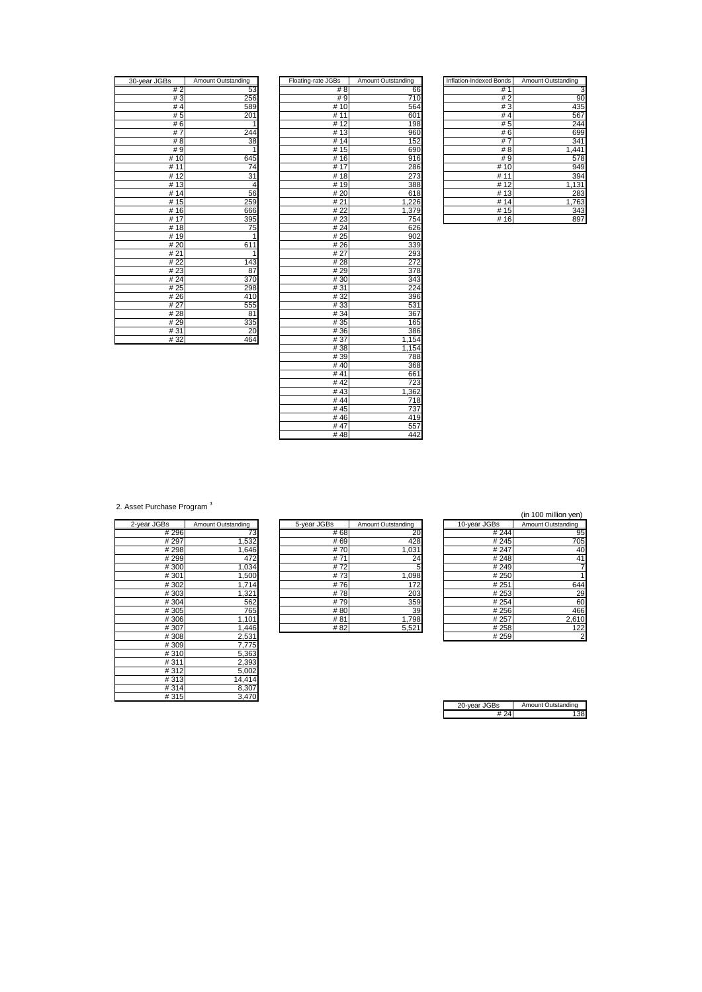| 30-year JGBs        | <b>Amount Outstanding</b> |
|---------------------|---------------------------|
| #2                  | 53                        |
| #3                  | 256                       |
| #4                  | 589                       |
| #5                  | 201                       |
| #6                  | 1                         |
| $\overline{7}$<br># | 24<br>4                   |
| # 8                 | $\overline{3}8$           |
| #9                  | 1                         |
| #10                 | 645                       |
| 11<br>#             | $\overline{7}$ 4          |
| 12<br>#             | 31                        |
| 13<br>#             | 4                         |
| 14<br>#             | 56                        |
| 15<br>#             | 259                       |
| 16<br>#             | 666                       |
| 17<br>#             | 395                       |
| 18<br>#             | 75                        |
| 19<br>#             | 1                         |
| #20                 | 611                       |
| # 21                | 1                         |
| 22<br>#             | 143                       |
| 23<br>#             | 87                        |
| 24<br>#             | 37                        |
| # 25                | 298                       |
| # 26                | 410                       |
| # 27                | 555                       |
| #28                 | 81                        |
| #29                 | 335                       |
| #31                 | $\overline{20}$           |
| #32                 | 464                       |

| 30-year JGBs | Amount Outstanding | Floating-rate JGBs | Amount Outstanding | <b>Inflation-Indexed Bonds</b> | Amount Outstanding |
|--------------|--------------------|--------------------|--------------------|--------------------------------|--------------------|
| #2           | 53                 | #8                 | 66                 | #1                             | З                  |
| #3           | 256                | #9                 | 710                | #2                             | 90                 |
| #4           | 589                | #10                | 564                | #3                             | 435                |
| #5           | 201                | #11                | 601                | # $4$                          | 567                |
| #6           |                    | #12                | 198                | #5                             | 244                |
| #7           | 244                | #13                | 960                | #6                             | 699                |
| #8           | 38                 | #14                | 152                | #7                             | 341                |
| #9           | 1                  | #15                | 690                | #8                             | 1,441              |
| #10          | 645                | #16                | 916                | #9                             | 578                |
| #11          | 74                 | #17                | 286                | #10                            | 949                |
| #12          | 31                 | #18                | 273                | #11                            | 394                |
| #13          | 4                  | #19                | 388                | #12                            | 1,131              |
| #14          | 56                 | #20                | 618                | #13                            | 283                |
| #15          | 259                | #21                | 1,226              | #14                            | 1,763              |
| #16          | 666                | #22                | 1,379              | #15                            | 343                |
| #17          | 395                | #23                | 754                | #16                            | 897                |
| #18          | 75                 | #24                | 626                |                                |                    |
| #19          | $\mathbf{1}$       | # 25               | 902                |                                |                    |
| #20          | 611                | #26                | 339                |                                |                    |
| #21          | 1                  | #27                | 293                |                                |                    |
| #22          | 143                | #28                | 272                |                                |                    |
| #23          | 87                 | #29                | 378                |                                |                    |
| # 24         | 370                | #30                | 343                |                                |                    |
| #25          | 298                | #31                | 224                |                                |                    |
| #26          | 410                | #32                | 396                |                                |                    |
| # 27         | 555                | #33                | 531                |                                |                    |
| #28          | 81                 | # 34               | 367                |                                |                    |
| #29          | 335                | # 35               | 165                |                                |                    |
| #31          | 20                 | #36                | 386                |                                |                    |
| #32          | 464                | #37                | 1,154              |                                |                    |
|              |                    | #38                | 1,154              |                                |                    |
|              |                    | #39                | 788                |                                |                    |
|              |                    | # $\overline{40}$  | 368                |                                |                    |
|              |                    | #41                | 661                |                                |                    |
|              |                    | #42                | 723                |                                |                    |
|              |                    | #43                | 1,362              |                                |                    |
|              |                    | #44                | 718                |                                |                    |
|              |                    | #45                | 737                |                                |                    |
|              |                    | #46                | 419                |                                |                    |
|              |                    | #47                | 557                |                                |                    |
|              |                    | #48                | 442                |                                |                    |
|              |                    |                    |                    |                                |                    |

| Inflation-Indexed Bonds | Amount Outstanding |
|-------------------------|--------------------|
| #<br>1                  |                    |
| #<br>2                  | 90                 |
| #3                      | 435                |
| #<br>$\overline{4}$     | 567                |
| # 5                     | 244                |
| #6                      | 699                |
| #                       | 341                |
| # 8                     | 1,441              |
| # 9                     | 578                |
| # 10                    | 949                |
| # 11                    | 394                |
| # 12                    | 1,131              |
| 13<br>#                 | 283                |
| # 14                    | 1,763              |
| #<br>15                 | 343                |
| #<br>16                 | 89                 |

2. Asset Purchase Program<sup>3</sup>

|             | Amount Outstanding |
|-------------|--------------------|
| 2-year JGBs |                    |
| #296        | 73                 |
| # 297       | 1,532              |
| #298        | 1,646              |
| # 299       | 472                |
| #300        | 1,034              |
| #301        | 1,500              |
| #302        | 1,714              |
| #303        | 1,321              |
| #304        | 562                |
| #305        | 765                |
| #306        | 1,101              |
| #307        | 1,446              |
| #308        | 2,531              |
| #309        | 7,775              |
| #310        | 5,363              |
| #311        | 2,393              |
| #312        | 5,002              |
| #313        | 14,414             |
| #314        | 8,307              |
| #315        | 3,470              |

|             |                    |             |                    |              | , וויטע וויווווויטט וווי |
|-------------|--------------------|-------------|--------------------|--------------|--------------------------|
| 2-year JGBs | Amount Outstanding | 5-year JGBs | Amount Outstanding | 10-year JGBs | Amount Outstanding       |
| #296        |                    | # 68        | 20                 | #244         | 95                       |
| #297        | .532               | # 69        | 428                | #245         | 705                      |
| #298        | .646               | #70         | 1.031              | # 247        | 40                       |
| #299        | 472                | #71         | 24                 | #248         | 41                       |
| #300        | 1,034              | #72         |                    | #249         |                          |
| #301        | 1,500              | #73         | 1,098              | # 250        |                          |
| #302        | 1.714              | #76         | 172                | #251         | 644                      |
| #303        | 1,321              | #78         | 203                | # 253        | 2g                       |
| #304        | 562                | #79         | 359                | # 254        | 60                       |
| #305        | 765                | #80         | 39                 | #256         | 466                      |
| #306        | 1,101              | #81         | 1.798              | # 257        | 2,610                    |
| #307        | .446               | #82         | 5.521              | #258         | 122                      |

| (in 100 million yen) |  |
|----------------------|--|
|                      |  |

| iS.   | Amount Outstanding | 5-year JGBs |      | Amount Outstanding | 10-year JGBs | Amount Outstanding |
|-------|--------------------|-------------|------|--------------------|--------------|--------------------|
| #296  | 73                 |             | # 68 | 20                 | #244         | 95                 |
| # 297 | 1,532              |             | # 69 | 428                | #245         | 705                |
| #298  | .646               |             | #70  | 1,031              | # 247        | 40                 |
| #299  | 472                |             | #71  | 24                 | #248         | 41                 |
| #300  | 0.034              |             | #72  |                    | #249         |                    |
| #301  | .500               |             | #73  | 1,098              | # 250        |                    |
| #302  | 1.714              |             | #76  | 172                | #251         | 644                |
| #303  | 1,321              |             | #78  | 203                | # 253        | 29                 |
| #304  | 562                |             | #79  | 359                | # 254        | 60                 |
| #305  | 765                |             | #80  | 39                 | # 256        | 466                |
| #306  | 1,101              |             | #81  | 1,798              | # 257        | 2,610              |
| #307  | .446               |             | #82  | 5,521              | #258         | 122                |
| #308  | 2,531              |             |      |                    | #259         | $\overline{2}$     |

| ว-vear JGBs | Amount Outstanding |
|-------------|--------------------|
|             |                    |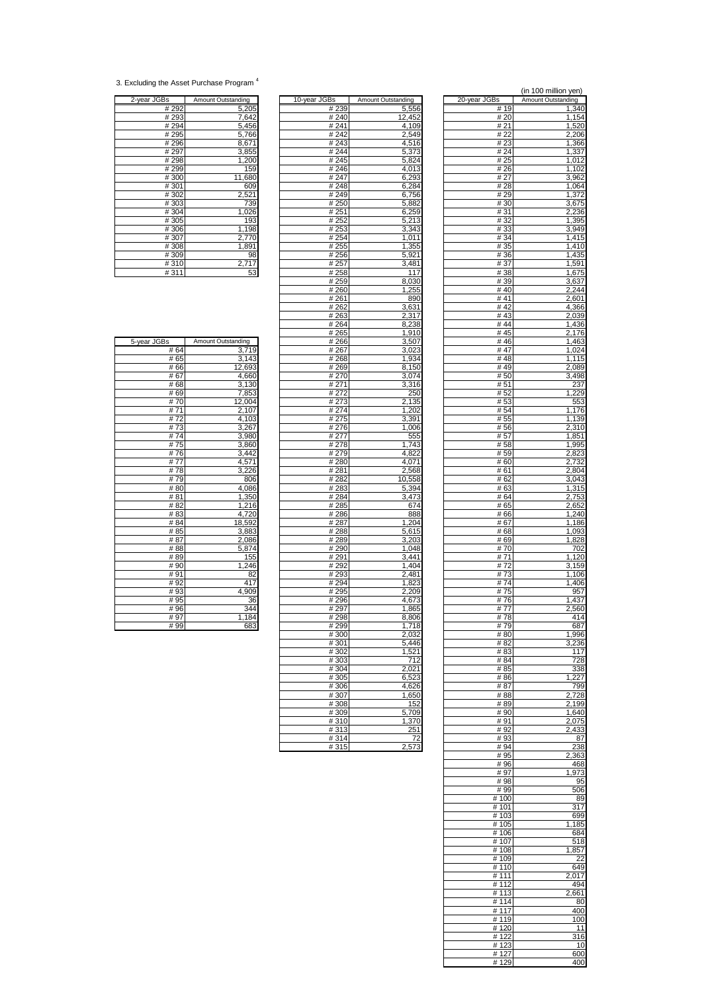<sup>3.</sup> Excluding the Asset Purchase Program <sup>4</sup>

| 2-year JGBs | Amount Outstanding |
|-------------|--------------------|
| # 292       | 5,205              |
| #293        | 7,642              |
| #294        | 5,456              |
| #295        | 5,766              |
| #296        | 8,671              |
| #297        | 3,855              |
| #298        | 1,200              |
| #299        | 159                |
| #300        | 11,680             |
| #301        | 609                |
| #302        | 2,521              |
| #303        | 739                |
| #304        | 1,026              |
| #305        | 193                |
| #306        | 1,198              |
| #307        | 2,770              |
| #308        | 1,891              |
| #309        | 98                 |
| #310        | 2,717              |
| #311        | 53                 |

| 2-year JGBs | Amount Outstanding | 10-year JGBs | Amount Outstanding | 20-year JGBs    | Amount Outstanding |
|-------------|--------------------|--------------|--------------------|-----------------|--------------------|
| #292        | 5,205              | # 239        | 5,556              | #19             | 1,340              |
|             |                    |              |                    |                 |                    |
| # 293       | 7,642              | # 240        | 12,452             | # 20            | 1,154              |
| #294        | 5,456              | #241         | 4,109              | #21             | 1,520              |
| #295        | 5,766              | #242         | 2,549              | # 22            | 2,206              |
| #296        | 8,671              | #243         | 4,516              | # 23            | 1,366              |
| #297        | 3,855              | #244         | 5,373              | # 24            | 1,337              |
| #298        |                    |              |                    | # 25            |                    |
|             | 1,200              | # 245        | 5,824              |                 | 1,012              |
| #299        | 159                | #246         | 4,013              | # 26            | 1,102              |
| #300        | 11,680             | # 247        | 6,293              | # 27            | 3,962              |
| #301        | 609                | #248         | 6,284              | #28             | 1,064              |
| #302        | 2,521              | #249         | 6,756              | #29             | 1,372              |
| #303        | 739                | #250         | 5,882              | # 30            | 3,675              |
| #304        | 1,026              | #251         | 6,259              | #31             | 2,236              |
|             |                    |              |                    |                 |                    |
| #305        | 193                | #252         | 5,213              | # 32            | 1,395              |
| #306        | 1,198              | #253         | 3,343              | #33             | 3,949              |
| #307        | 2,770              | # 254        | 1,011              | # 34            | 1,415              |
| #308        | 1,891              | # 255        | 1,355              | # 35            | 1,410              |
| #309        | 98                 | # 256        | 5,921              | # 36            | 1,435              |
| #310        | 2,717              | # 257        | 3,481              | # 37            | 1,591              |
| #311        | 53                 | #258         | 117                | #38             |                    |
|             |                    |              |                    |                 | 1,675              |
|             |                    | #259         | 8,030              | # 39            | 3,637              |
|             |                    | #260         | 1,255              | #40             | 2,244              |
|             |                    | #261         | 890                | #41             | 2,601              |
|             |                    | # 262        | 3,631              | #42             | 4,366              |
|             |                    | #263         | 2,317              | #43             | 2,039              |
|             |                    | #264         | 8,238              | #44             | 1,436              |
|             |                    |              |                    |                 |                    |
|             |                    | # 265        | 1,910              | #45             | 2,176              |
| 5-year JGBs | Amount Outstanding | #266         | 3,507              | #46             | 1,463              |
| #64         | 3,719              | # 267        | 3,023              | # 47            | $\overline{1,024}$ |
| #65         | 3,143              | #268         | 1,934              | #48             | 1,115              |
| #66         | 12,693             | #269         | 8,150              | #49             | 2,089              |
| #67         | 4,660              | #270         | 3,074              | #50             | 3,498              |
| #68         | 3,130              | # 271        | 3,316              | #51             | 237                |
|             |                    |              |                    |                 |                    |
| # 69        | 7,853              | #272         | 250                | # 52            | 1,229              |
| #70         | 12,004             | # 273        | 2,135              | #53             | 553                |
| #71         | 2,107              | # 274        | 1,202              | # 54            | 1,176              |
| #72         | 4,103              | #275         | 3,391              | # 55            | 1,139              |
| #73         | 3,267              | #276         | 1,006              | #56             | 2,310              |
| #74         | 3,980              | # 277        | 555                | # 57            | 1,851              |
|             |                    |              |                    |                 |                    |
| #75         | 3,860              | #278         | 1,743              | #58             | 1,995              |
| #76         | 3,442              | #279         | 4,822              | #59             | 2,823              |
| #77         | 4,571              | #280         | 4,071              | #60             | 2,732              |
| #78         | 3,226              | # 281        | 2,568              | #61             | 2,804              |
| #79         | 806                | # 282        | 10,558             | # 62            | 3,043              |
| #80         | 4,086              | # 283        | 5,394              | # 63            | 1,315              |
| #81         | 1,350              | #284         | 3.473              | # 64            | 2,753              |
|             |                    |              |                    |                 |                    |
| #82         | 1,216              | #285         | 674                | # 65            | 2,652              |
| #83         | 4,720              | #286         | 888                | # 66            | 1,240              |
| #84         | 18,592             | # 287        | 1,204              | #67             | 1,186              |
| # 85        | 3,883              | #288         | 5,615              | #68             | 1,093              |
| #87         | 2,086              | #289         | 3,203              | # 69            | 1,828              |
| #88         | 5,874              | #290         | 1,048              | #70             | 702                |
| #89         | 155                | # 291        | 3,441              | #71             | 1,120              |
| #90         | 1,246              | #292         | 1,404              | #72             | 3,159              |
|             |                    |              |                    |                 |                    |
| #91         | 82                 | #293         | 2,481              | #73             | 1,106              |
| #92         | 417                | #294         | 1,823              | #74             | 1,406              |
| #93         | 4,909              | # 295        | 2,209              | #75             | 957                |
| # 95        | 36                 | #296         | 4,673              | #76             | 1,437              |
| #96         | 344                | # 297        | 1,865              | #77             | 2,560              |
| #97         | 184<br>1.          | #298         | 8,806              | #78             | 414                |
| #99         |                    | # 299        | 1,718              | # 79            | 687                |
|             | 683                |              |                    |                 |                    |
|             |                    | #300         | 2.032              | #80             | 1,996              |
|             |                    | #301         | 5,446              | #82             | 3,236              |
|             |                    | #302         | 1,521              | #83             | 117                |
|             |                    | #303         | 712                | #84             | 728                |
|             |                    | #304         | 2,021              | # 85            | 338                |
|             |                    | #305         | 6,523              | #86             | 1,227              |
|             |                    | #306         | 4,626              | #87             | 799                |
|             |                    |              |                    |                 |                    |
|             |                    | #307         | 1,650              | #88             | 2,728              |
|             |                    | #308         | 152                | #89             | 2,199              |
|             |                    | #309         | 5,709              | # 90            | 1,640              |
|             |                    | #310         | 1,370              | # 91            | 2,075              |
|             |                    | #313         | 251                | # 92            | 2,433              |
|             |                    | #314         | 72                 | #93             | 87                 |
|             |                    | # 315        | 2573               | $#$ Q $\Lambda$ | <b>J38</b>         |

|                   |                    |               | (in 100 million yen) |
|-------------------|--------------------|---------------|----------------------|
| 3s                | Amount Outstanding | 20-year JGBs  | Amount Outstanding   |
| #239<br># 240     | 5,556<br>12.452    | # 19<br># 20  | 1,340<br>1,154       |
| # 241             | 4,109              | # 21          | 1,520                |
| # 242             | 2,549              | # 22          | 2,206                |
| #243              | 4,516              | #23           | 1,366                |
| #244              | 5,373              | #24           | 1,337                |
| #245<br>#246      | 5,824<br>4,013     | # 25<br>#26   | 1,012<br>1,102       |
| # 247             | 6,293              | # 27          | 3,962                |
| #248              | 6,284              | #28           | 1,064                |
| #249              | 6,756              | #29           | 1,372                |
| # 250             | 5,882              | #30           | 3,675                |
| # 251             | 6,259              | #31           | 2,236                |
| # 252<br># 253    | 5,213<br>3,343     | #32<br>#33    | 1,395<br>3,949       |
| $\frac{1}{4}$ 254 | 1,011              | #34           | 1,415                |
| # 255             | 1,355              | # 35          | 1,410                |
| # 256             | 5,921              | # 36          | 1,435                |
| # 257<br># 258    | 3,481<br>117       | #37<br>#38    | 1,591                |
| # 259             | 8,030              | #39           | 1,675<br>3,637       |
| #260              | 1,255              | #40           | 2,244                |
| # 261             | 890                | #41           | 2,601                |
| # 262             | 3,631              | #42           | 4,366                |
| # 263             | 2,317              | #43           | 2,039                |
| # 264<br># 265    | 8,238<br>1,910     | #44<br>#45    | 1,436<br>2,176       |
| #266              | 3,507              | #46           | 1,463                |
| # 267             | 3,023              | #47           | 1,024                |
| # 268             | 1,934              | #48           | 1,115                |
| # 269<br># 270    | 8,150<br>3,074     | #49<br>#50    | 2,089<br>3,498       |
| # 271             | 3,316              | #51           | 237                  |
| # 272             | 250                | # 52          | 1,229                |
| # 273             | 2,135              | # 53          | 553                  |
| # 274             | 1,202              | # 54          | 1,176                |
| # 275<br># 276    | 3,391<br>1,006     | # 55<br>#56   | 1,139<br>2,310       |
| # 277             | 555                | # 57          | 1,851                |
| #278              | 1,743              | #58           | 1,995                |
| # 279             | 4,822              | #59           | 2,823                |
| # 280             | 4,071              | # 60          | 2,732                |
| # 281             | 2,568              | # 61          | 2,804                |
| # 282<br># 283    | 10,558<br>5,394    | # 62<br># 63  | 3,043<br>1,315       |
| # 284             | 3,473              | # 64          | 2,753                |
| # 285             | 674                | # 65          | 2,652                |
| # 286             | 888                | #66           | 1,240                |
| # 287             | 1,204              | # 67          | 1,186                |
| # 288<br># 289    | 5,615<br>3,203     | # 68<br># 69  | 1,093<br>1,828       |
| # 290             | 1,048              | #70           | 702                  |
| # 291             | 3,441              | #71           | 1,120                |
| # 292             | 1.404              | #72           | 3,159                |
| #293              | 2,481              | #73           | 1,106                |
| # 294<br># 295    | 1,823<br>2,209     | #74<br>#75    | 1,406<br>957         |
| #296              | 4,673              | #76           | 1,437                |
| # 297             | 1,865              | # 77          | 2,560                |
| # 298             | 8,806              | # 78          | 414                  |
| # 299             | 1,718              | #79           | 687                  |
| #300<br>#301      | 2,032<br>5,446     | #80<br>#82    | 1,996<br>3.236       |
| # 302             | 1,521              | #83           | 117                  |
| #303              | 712                | #84           | 728                  |
| # 304             | 2,021              | # 85          | 338                  |
| #305              | 6,523              | #86           | 1,227                |
| #306<br>#307      | 4,626<br>1,650     | # 87<br>#88   | 799<br>2,728         |
| #308              | 152                | #89           | 2,199                |
| #309              | 5,709              | #90           | 1.640                |
| #310              | 1,370              | #91           | 2,075                |
| #313              | 251<br>72          | #92<br>#93    | 2,433<br>87          |
| # 314<br>#315     | 2,573              | # 94          | 238                  |
|                   |                    | # 95          | 2,363                |
|                   |                    | #96           | 468                  |
|                   |                    | #97           | 1,973                |
|                   |                    | #98<br># 99   | 95<br>506            |
|                   |                    | #100          | 89                   |
|                   |                    | # 101         | 317                  |
|                   |                    | # 103         | 699                  |
|                   |                    | # 105         | 1,185                |
|                   |                    | #106<br># 107 | 684<br>518           |
|                   |                    | #108          | 1,857                |
|                   |                    | #109          | 22                   |
|                   |                    | # 110         | 649                  |
|                   |                    | #111          | 2,017                |
|                   |                    | #112<br>#113  | 494                  |
|                   |                    | #114          | 2,661<br>80          |
|                   |                    | # 117         | 400                  |
|                   |                    | #119          | 100                  |
|                   |                    | #120          | 11                   |
|                   |                    | #122          | 316                  |
|                   |                    | #123<br>#127  | 10<br>600            |
|                   |                    | #129          | 400                  |

| 5-year JGBs | Amount Outstanding |
|-------------|--------------------|
| # 64        | 3,719              |
| # 65        | 3,143              |
| #66         | 12,693             |
| #67         | 4,660              |
| #68         | 3,130              |
| #69         | 7,853              |
| #70         | 12,004             |
| #71         | 2,107              |
| # $72$      | 4,103              |
| #73         | 3,267              |
| #74         | 3,980              |
| #75         | 3,860              |
| #76         | 3,442              |
| #77         | 4,571              |
| #78         | 3,226              |
| #79         | 806                |
| #80         | 4,086              |
| # 81        | 1,350              |
| #82         | 1,216              |
| #83         | 4,720              |
| #84         | 18,592             |
| # 85        | 3,883              |
| # 87        | 2,086              |
| #88         | 5,874              |
| #89         | 155                |
| #90         | 1,246              |
| #91         | 82                 |
| #92         | 417                |
| #93         | 4,909              |
| # 95        | 36                 |
| #96         | 344                |
| #97         | 1,184              |
| #99         | 683                |